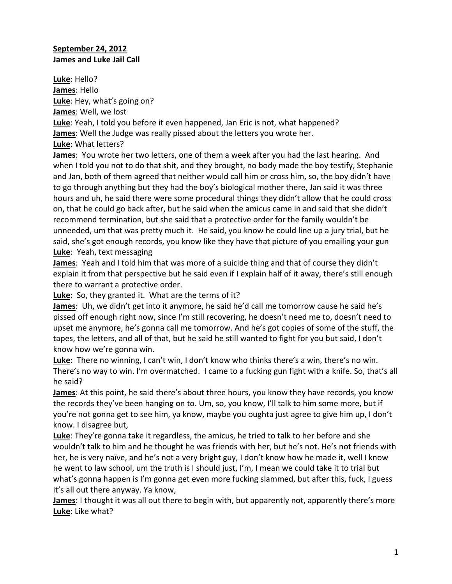## **September 24, 2012 James and Luke Jail Call**

**Luke**: Hello? **James**: Hello **Luke**: Hey, what's going on? **James**: Well, we lost **Luke**: Yeah, I told you before it even happened, Jan Eric is not, what happened? **James**: Well the Judge was really pissed about the letters you wrote her. **Luke**: What letters?

**James**: You wrote her two letters, one of them a week after you had the last hearing. And when I told you not to do that shit, and they brought, no body made the boy testify, Stephanie and Jan, both of them agreed that neither would call him or cross him, so, the boy didn't have to go through anything but they had the boy's biological mother there, Jan said it was three hours and uh, he said there were some procedural things they didn't allow that he could cross on, that he could go back after, but he said when the amicus came in and said that she didn't recommend termination, but she said that a protective order for the family wouldn't be unneeded, um that was pretty much it. He said, you know he could line up a jury trial, but he said, she's got enough records, you know like they have that picture of you emailing your gun **Luke**: Yeah, text messaging

**James**: Yeah and I told him that was more of a suicide thing and that of course they didn't explain it from that perspective but he said even if I explain half of it away, there's still enough there to warrant a protective order.

**Luke**: So, they granted it. What are the terms of it?

**James**: Uh, we didn't get into it anymore, he said he'd call me tomorrow cause he said he's pissed off enough right now, since I'm still recovering, he doesn't need me to, doesn't need to upset me anymore, he's gonna call me tomorrow. And he's got copies of some of the stuff, the tapes, the letters, and all of that, but he said he still wanted to fight for you but said, I don't know how we're gonna win.

**Luke**: There no winning, I can't win, I don't know who thinks there's a win, there's no win. There's no way to win. I'm overmatched. I came to a fucking gun fight with a knife. So, that's all he said?

**James**: At this point, he said there's about three hours, you know they have records, you know the records they've been hanging on to. Um, so, you know, I'll talk to him some more, but if you're not gonna get to see him, ya know, maybe you oughta just agree to give him up, I don't know. I disagree but,

**Luke**: They're gonna take it regardless, the amicus, he tried to talk to her before and she wouldn't talk to him and he thought he was friends with her, but he's not. He's not friends with her, he is very naïve, and he's not a very bright guy, I don't know how he made it, well I know he went to law school, um the truth is I should just, I'm, I mean we could take it to trial but what's gonna happen is I'm gonna get even more fucking slammed, but after this, fuck, I guess it's all out there anyway. Ya know,

**James**: I thought it was all out there to begin with, but apparently not, apparently there's more **Luke**: Like what?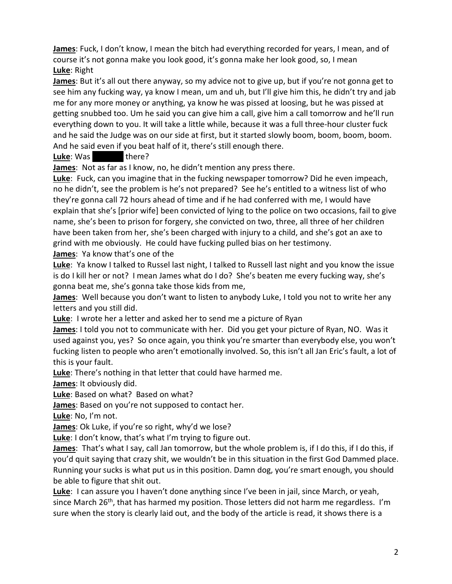**James**: Fuck, I don't know, I mean the bitch had everything recorded for years, I mean, and of course it's not gonna make you look good, it's gonna make her look good, so, I mean **Luke**: Right

**James**: But it's all out there anyway, so my advice not to give up, but if you're not gonna get to see him any fucking way, ya know I mean, um and uh, but I'll give him this, he didn't try and jab me for any more money or anything, ya know he was pissed at loosing, but he was pissed at getting snubbed too. Um he said you can give him a call, give him a call tomorrow and he'll run everything down to you. It will take a little while, because it was a full three-hour cluster fuck and he said the Judge was on our side at first, but it started slowly boom, boom, boom, boom. And he said even if you beat half of it, there's still enough there.

**Luke**: Was there?

**James**: Not as far as I know, no, he didn't mention any press there.

**Luke**: Fuck, can you imagine that in the fucking newspaper tomorrow? Did he even impeach, no he didn't, see the problem is he's not prepared? See he's entitled to a witness list of who they're gonna call 72 hours ahead of time and if he had conferred with me, I would have explain that she's [prior wife] been convicted of lying to the police on two occasions, fail to give name, she's been to prison for forgery, she convicted on two, three, all three of her children have been taken from her, she's been charged with injury to a child, and she's got an axe to grind with me obviously. He could have fucking pulled bias on her testimony. **James**: Ya know that's one of the

**Luke**: Ya know I talked to Russel last night, I talked to Russell last night and you know the issue is do I kill her or not? I mean James what do I do? She's beaten me every fucking way, she's gonna beat me, she's gonna take those kids from me,

**James**: Well because you don't want to listen to anybody Luke, I told you not to write her any letters and you still did.

**Luke**: I wrote her a letter and asked her to send me a picture of Ryan

**James**: I told you not to communicate with her. Did you get your picture of Ryan, NO. Was it used against you, yes? So once again, you think you're smarter than everybody else, you won't fucking listen to people who aren't emotionally involved. So, this isn't all Jan Eric's fault, a lot of this is your fault.

**Luke**: There's nothing in that letter that could have harmed me.

**James**: It obviously did.

**Luke**: Based on what? Based on what?

**James**: Based on you're not supposed to contact her.

**Luke**: No, I'm not.

**James**: Ok Luke, if you're so right, why'd we lose?

**Luke**: I don't know, that's what I'm trying to figure out.

**James**: That's what I say, call Jan tomorrow, but the whole problem is, if I do this, if I do this, if you'd quit saying that crazy shit, we wouldn't be in this situation in the first God Dammed place. Running your sucks is what put us in this position. Damn dog, you're smart enough, you should be able to figure that shit out.

**Luke**: I can assure you I haven't done anything since I've been in jail, since March, or yeah, since March 26<sup>th</sup>, that has harmed my position. Those letters did not harm me regardless. I'm sure when the story is clearly laid out, and the body of the article is read, it shows there is a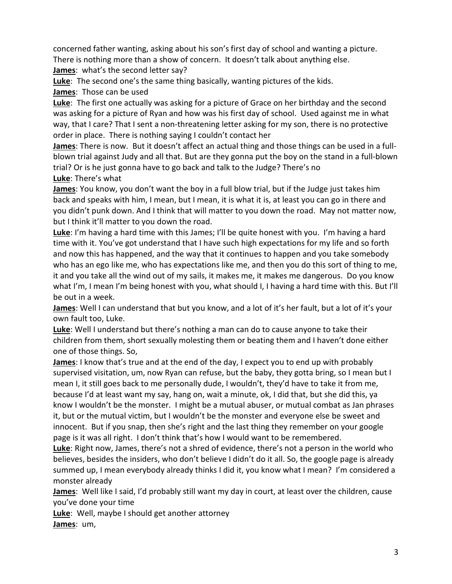concerned father wanting, asking about his son's first day of school and wanting a picture. There is nothing more than a show of concern. It doesn't talk about anything else. **James**: what's the second letter say?

**Luke**: The second one's the same thing basically, wanting pictures of the kids.

**James**: Those can be used

**Luke**: The first one actually was asking for a picture of Grace on her birthday and the second was asking for a picture of Ryan and how was his first day of school. Used against me in what way, that I care? That I sent a non-threatening letter asking for my son, there is no protective order in place. There is nothing saying I couldn't contact her

**James**: There is now. But it doesn't affect an actual thing and those things can be used in a fullblown trial against Judy and all that. But are they gonna put the boy on the stand in a full-blown trial? Or is he just gonna have to go back and talk to the Judge? There's no **Luke**: There's what

**James**: You know, you don't want the boy in a full blow trial, but if the Judge just takes him back and speaks with him, I mean, but I mean, it is what it is, at least you can go in there and you didn't punk down. And I think that will matter to you down the road. May not matter now, but I think it'll matter to you down the road.

**Luke**: I'm having a hard time with this James; I'll be quite honest with you. I'm having a hard time with it. You've got understand that I have such high expectations for my life and so forth and now this has happened, and the way that it continues to happen and you take somebody who has an ego like me, who has expectations like me, and then you do this sort of thing to me, it and you take all the wind out of my sails, it makes me, it makes me dangerous. Do you know what I'm, I mean I'm being honest with you, what should I, I having a hard time with this. But I'll be out in a week.

**James**: Well I can understand that but you know, and a lot of it's her fault, but a lot of it's your own fault too, Luke.

**Luke**: Well I understand but there's nothing a man can do to cause anyone to take their children from them, short sexually molesting them or beating them and I haven't done either one of those things. So,

**James**: I know that's true and at the end of the day, I expect you to end up with probably supervised visitation, um, now Ryan can refuse, but the baby, they gotta bring, so I mean but I mean I, it still goes back to me personally dude, I wouldn't, they'd have to take it from me, because I'd at least want my say, hang on, wait a minute, ok, I did that, but she did this, ya know I wouldn't be the monster. I might be a mutual abuser, or mutual combat as Jan phrases it, but or the mutual victim, but I wouldn't be the monster and everyone else be sweet and innocent. But if you snap, then she's right and the last thing they remember on your google page is it was all right. I don't think that's how I would want to be remembered.

**Luke**: Right now, James, there's not a shred of evidence, there's not a person in the world who believes, besides the insiders, who don't believe I didn't do it all. So, the google page is already summed up, I mean everybody already thinks I did it, you know what I mean? I'm considered a monster already

**James**: Well like I said, I'd probably still want my day in court, at least over the children, cause you've done your time

**Luke**: Well, maybe I should get another attorney **James**: um,